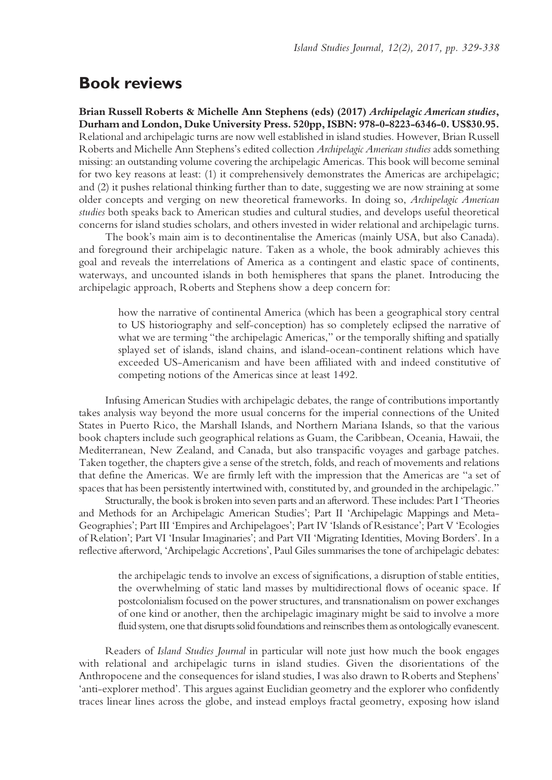# **Book reviews**

**Brian Russell Roberts & Michelle Ann Stephens (eds) (2017)** *Archipelagic American studies***, Durham and London, Duke University Press. 520pp, ISBN: 978-0-8223-6346-0. US\$30.95.** Relational and archipelagic turns are now well established in island studies. However, Brian Russell Roberts and Michelle Ann Stephens's edited collection *Archipelagic American studies* adds something missing: an outstanding volume covering the archipelagic Americas. This book will become seminal for two key reasons at least: (1) it comprehensively demonstrates the Americas are archipelagic; and (2) it pushes relational thinking further than to date, suggesting we are now straining at some older concepts and verging on new theoretical frameworks. In doing so, *Archipelagic American studies* both speaks back to American studies and cultural studies, and develops useful theoretical concerns for island studies scholars, and others invested in wider relational and archipelagic turns.

The book's main aim is to decontinentalise the Americas (mainly USA, but also Canada). and foreground their archipelagic nature. Taken as a whole, the book admirably achieves this goal and reveals the interrelations of America as a contingent and elastic space of continents, waterways, and uncounted islands in both hemispheres that spans the planet. Introducing the archipelagic approach, Roberts and Stephens show a deep concern for:

how the narrative of continental America (which has been a geographical story central to US historiography and self-conception) has so completely eclipsed the narrative of what we are terming "the archipelagic Americas," or the temporally shifting and spatially splayed set of islands, island chains, and island-ocean-continent relations which have exceeded US-Americanism and have been affiliated with and indeed constitutive of competing notions of the Americas since at least 1492.

Infusing American Studies with archipelagic debates, the range of contributions importantly takes analysis way beyond the more usual concerns for the imperial connections of the United States in Puerto Rico, the Marshall Islands, and Northern Mariana Islands, so that the various book chapters include such geographical relations as Guam, the Caribbean, Oceania, Hawaii, the Mediterranean, New Zealand, and Canada, but also transpacific voyages and garbage patches. Taken together, the chapters give a sense of the stretch, folds, and reach of movements and relations that define the Americas. We are firmly left with the impression that the Americas are "a set of spaces that has been persistently intertwined with, constituted by, and grounded in the archipelagic."

Structurally, the book is broken into seven parts and an afterword. These includes: Part I 'Theories and Methods for an Archipelagic American Studies'; Part II 'Archipelagic Mappings and Meta-Geographies'; Part III 'Empires and Archipelagoes'; Part IV 'Islands of Resistance'; Part V 'Ecologies of Relation'; Part VI 'Insular Imaginaries'; and Part VII 'Migrating Identities, Moving Borders'. In a reflective afterword, 'Archipelagic Accretions', Paul Giles summarises the tone of archipelagic debates:

the archipelagic tends to involve an excess of significations, a disruption of stable entities, the overwhelming of static land masses by multidirectional flows of oceanic space. If postcolonialism focused on the power structures, and transnationalism on power exchanges of one kind or another, then the archipelagic imaginary might be said to involve a more fluid system, one that disrupts solid foundations and reinscribes them as ontologically evanescent.

Readers of *Island Studies Journal* in particular will note just how much the book engages with relational and archipelagic turns in island studies. Given the disorientations of the Anthropocene and the consequences for island studies, I was also drawn to Roberts and Stephens' 'anti-explorer method'. This argues against Euclidian geometry and the explorer who confidently traces linear lines across the globe, and instead employs fractal geometry, exposing how island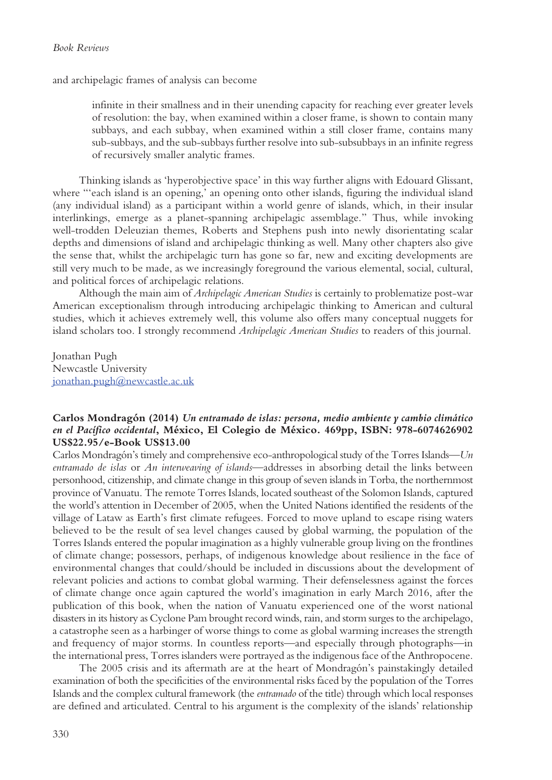and archipelagic frames of analysis can become

infinite in their smallness and in their unending capacity for reaching ever greater levels of resolution: the bay, when examined within a closer frame, is shown to contain many subbays, and each subbay, when examined within a still closer frame, contains many sub-subbays, and the sub-subbays further resolve into sub-subsubbays in an infinite regress of recursively smaller analytic frames.

Thinking islands as 'hyperobjective space' in this way further aligns with Edouard Glissant, where "'each island is an opening,' an opening onto other islands, figuring the individual island (any individual island) as a participant within a world genre of islands, which, in their insular interlinkings, emerge as a planet-spanning archipelagic assemblage." Thus, while invoking well-trodden Deleuzian themes, Roberts and Stephens push into newly disorientating scalar depths and dimensions of island and archipelagic thinking as well. Many other chapters also give the sense that, whilst the archipelagic turn has gone so far, new and exciting developments are still very much to be made, as we increasingly foreground the various elemental, social, cultural, and political forces of archipelagic relations.

Although the main aim of *Archipelagic American Studies* is certainly to problematize post-war American exceptionalism through introducing archipelagic thinking to American and cultural studies, which it achieves extremely well, this volume also offers many conceptual nuggets for island scholars too. I strongly recommend *Archipelagic American Studies* to readers of this journal.

Jonathan Pugh Newcastle University jonathan.pugh@newcastle.ac.uk

# **Carlos Mondragón (2014)** *Un entramado de islas: persona, medio ambiente y cambio climático en el Pacífico occidental***, México, El Colegio de México. 469pp, ISBN: 978-6074626902 US\$22.95/e-Book US\$13.00**

Carlos Mondragón's timely and comprehensive eco-anthropological study of the Torres Islands—*Un entramado de islas* or *An interweaving of islands*—addresses in absorbing detail the links between personhood, citizenship, and climate change in this group of seven islands in Torba, the northernmost province of Vanuatu. The remote Torres Islands, located southeast of the Solomon Islands, captured the world's attention in December of 2005, when the United Nations identified the residents of the village of Lataw as Earth's first climate refugees. Forced to move upland to escape rising waters believed to be the result of sea level changes caused by global warming, the population of the Torres Islands entered the popular imagination as a highly vulnerable group living on the frontlines of climate change; possessors, perhaps, of indigenous knowledge about resilience in the face of environmental changes that could/should be included in discussions about the development of relevant policies and actions to combat global warming. Their defenselessness against the forces of climate change once again captured the world's imagination in early March 2016, after the publication of this book, when the nation of Vanuatu experienced one of the worst national disasters in its history as Cyclone Pam brought record winds, rain, and storm surges to the archipelago, a catastrophe seen as a harbinger of worse things to come as global warming increases the strength and frequency of major storms. In countless reports—and especially through photographs—in the international press, Torres islanders were portrayed as the indigenous face of the Anthropocene.

The 2005 crisis and its aftermath are at the heart of Mondragón's painstakingly detailed examination of both the specificities of the environmental risks faced by the population of the Torres Islands and the complex cultural framework (the *entramado* of the title) through which local responses are defined and articulated. Central to his argument is the complexity of the islands' relationship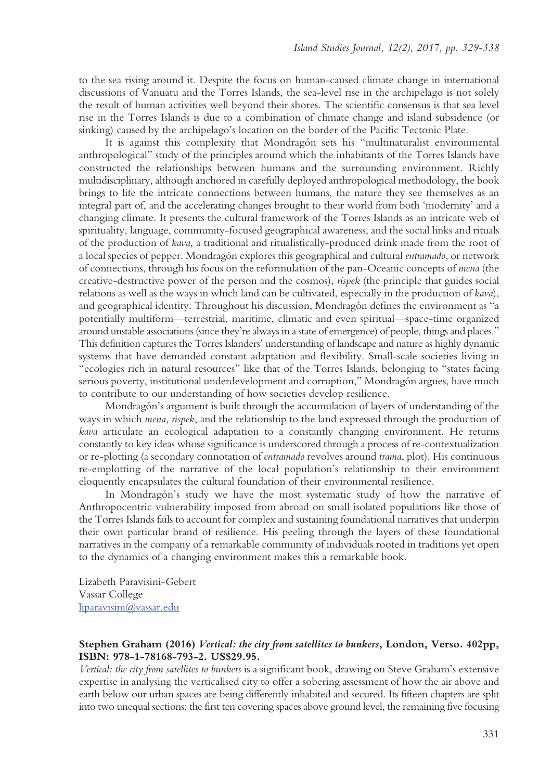to the sea rising around it. Despite the focus on human-caused climate change in international discussions of Vanuatu and the Torres Islands, the sea-level rise in the archipelago is not solely the result of human activities well beyond their shores. The scientific consensus is that sea level rise in the Torres Islands is due to a combination of climate change and island subsidence (or sinking) caused by the archipelago's location on the border of the Pacific Tectonic Plate.

It is against this complexity that Mondragón sets his "multinaturalist environmental anthropological" study of the principles around which the inhabitants of the Torres Islands have constructed the relationships between humans and the surrounding environment. Richly multidisciplinary, although anchored in carefully deployed anthropological methodology, the book brings to life the intricate connections between humans, the nature they see themselves as an integral part of, and the accelerating changes brought to their world from both 'modernity' and a changing climate. It presents the cultural framework of the Torres Islands as an intricate web of spirituality, language, community-focused geographical awareness, and the social links and rituals of the production of *kava*, a traditional and ritualistically-produced drink made from the root of a local species of pepper. Mondragón explores this geographical and cultural *entramado*, or network of connections, through his focus on the reformulation of the pan-Oceanic concepts of *mena* (the creative-destructive power of the person and the cosmos), *rispek* (the principle that guides social relations as well as the ways in which land can be cultivated, especially in the production of *kava*), and geographical identity. Throughout his discussion, Mondragón defines the environment as "a potentially multiform—terrestrial, maritime, climatic and even spiritual—space-time organized around unstable associations (since they're always in a state of emergence) of people, things and places." This definition captures the Torres Islanders' understanding of landscape and nature as highly dynamic systems that have demanded constant adaptation and flexibility. Small-scale societies living in "ecologies rich in natural resources" like that of the Torres Islands, belonging to "states facing serious poverty, institutional underdevelopment and corruption," Mondragón argues, have much to contribute to our understanding of how societies develop resilience.

Mondragón's argument is built through the accumulation of layers of understanding of the ways in which *mena*, *rispek*, and the relationship to the land expressed through the production of *kava* articulate an ecological adaptation to a constantly changing environment. He returns constantly to key ideas whose significance is underscored through a process of re-contextualization or re-plotting (a secondary connotation of *entramado* revolves around *trama*, plot). His continuous re-emplotting of the narrative of the local population's relationship to their environment eloquently encapsulates the cultural foundation of their environmental resilience.

In Mondragón's study we have the most systematic study of how the narrative of Anthropocentric vulnerability imposed from abroad on small isolated populations like those of the Torres Islands fails to account for complex and sustaining foundational narratives that underpin their own particular brand of resilience. His peeling through the layers of these foundational narratives in the company of a remarkable community of individuals rooted in traditions yet open to the dynamics of a changing environment makes this a remarkable book.

Lizabeth Paravisini-Gebert Vassar College liparavisini@vassar.edu

### **Stephen Graham (2016)** *Vertical: the city from satellites to bunkers***, London, Verso. 402pp, ISBN: 978-1-78168-793-2. US\$29.95.**

*Vertical: the city from satellites to bunkers* is a significant book, drawing on Steve Graham's extensive expertise in analysing the verticalised city to offer a sobering assessment of how the air above and earth below our urban spaces are being differently inhabited and secured. Its fifteen chapters are split into two unequal sections; the first ten covering spaces above ground level, the remaining five focusing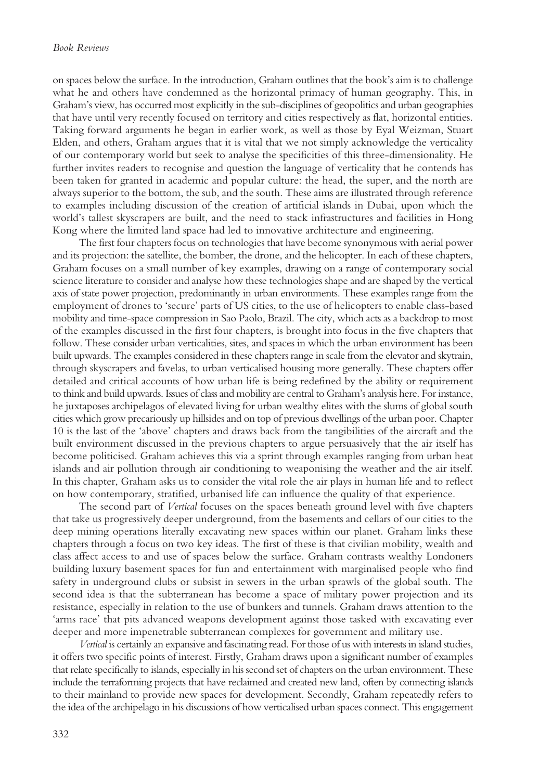on spaces below the surface. In the introduction, Graham outlines that the book's aim is to challenge what he and others have condemned as the horizontal primacy of human geography. This, in Graham's view, has occurred most explicitly in the sub-disciplines of geopolitics and urban geographies that have until very recently focused on territory and cities respectively as flat, horizontal entities. Taking forward arguments he began in earlier work, as well as those by Eyal Weizman, Stuart Elden, and others, Graham argues that it is vital that we not simply acknowledge the verticality of our contemporary world but seek to analyse the specificities of this three-dimensionality. He further invites readers to recognise and question the language of verticality that he contends has been taken for granted in academic and popular culture: the head, the super, and the north are always superior to the bottom, the sub, and the south. These aims are illustrated through reference to examples including discussion of the creation of artificial islands in Dubai, upon which the world's tallest skyscrapers are built, and the need to stack infrastructures and facilities in Hong Kong where the limited land space had led to innovative architecture and engineering.

The first four chapters focus on technologies that have become synonymous with aerial power and its projection: the satellite, the bomber, the drone, and the helicopter. In each of these chapters, Graham focuses on a small number of key examples, drawing on a range of contemporary social science literature to consider and analyse how these technologies shape and are shaped by the vertical axis of state power projection, predominantly in urban environments. These examples range from the employment of drones to 'secure' parts of US cities, to the use of helicopters to enable class-based mobility and time-space compression in Sao Paolo, Brazil. The city, which acts as a backdrop to most of the examples discussed in the first four chapters, is brought into focus in the five chapters that follow. These consider urban verticalities, sites, and spaces in which the urban environment has been built upwards. The examples considered in these chapters range in scale from the elevator and skytrain, through skyscrapers and favelas, to urban verticalised housing more generally. These chapters offer detailed and critical accounts of how urban life is being redefined by the ability or requirement to think and build upwards. Issues of class and mobility are central to Graham's analysis here. For instance, he juxtaposes archipelagos of elevated living for urban wealthy elites with the slums of global south cities which grow precariously up hillsides and on top of previous dwellings of the urban poor. Chapter 10 is the last of the 'above' chapters and draws back from the tangibilities of the aircraft and the built environment discussed in the previous chapters to argue persuasively that the air itself has become politicised. Graham achieves this via a sprint through examples ranging from urban heat islands and air pollution through air conditioning to weaponising the weather and the air itself. In this chapter, Graham asks us to consider the vital role the air plays in human life and to reflect on how contemporary, stratified, urbanised life can influence the quality of that experience.

The second part of *Vertical* focuses on the spaces beneath ground level with five chapters that take us progressively deeper underground, from the basements and cellars of our cities to the deep mining operations literally excavating new spaces within our planet. Graham links these chapters through a focus on two key ideas. The first of these is that civilian mobility, wealth and class affect access to and use of spaces below the surface. Graham contrasts wealthy Londoners building luxury basement spaces for fun and entertainment with marginalised people who find safety in underground clubs or subsist in sewers in the urban sprawls of the global south. The second idea is that the subterranean has become a space of military power projection and its resistance, especially in relation to the use of bunkers and tunnels. Graham draws attention to the 'arms race' that pits advanced weapons development against those tasked with excavating ever deeper and more impenetrable subterranean complexes for government and military use.

*Vertical* is certainly an expansive and fascinating read. For those of us with interests in island studies, it offers two specific points of interest. Firstly, Graham draws upon a significant number of examples that relate specifically to islands, especially in his second set of chapters on the urban environment. These include the terraforming projects that have reclaimed and created new land, often by connecting islands to their mainland to provide new spaces for development. Secondly, Graham repeatedly refers to the idea of the archipelago in his discussions of how verticalised urban spaces connect. This engagement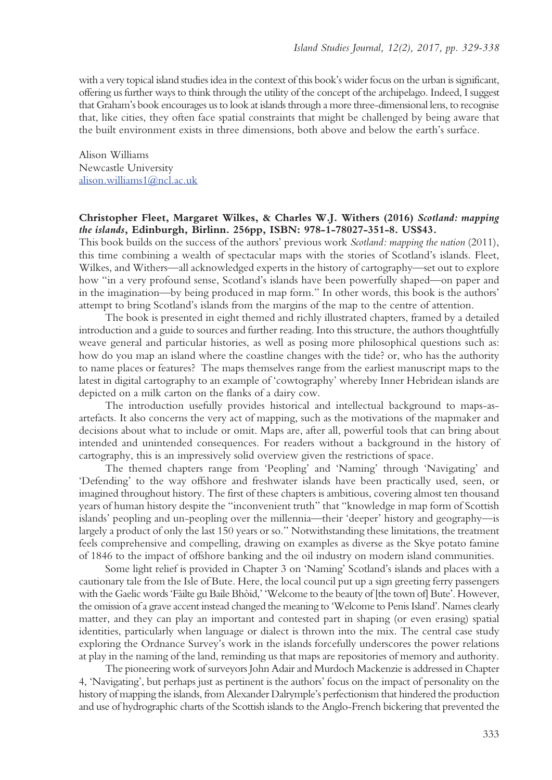with a very topical island studies idea in the context of this book's wider focus on the urban is significant, offering us further ways to think through the utility of the concept of the archipelago. Indeed, I suggest that Graham's book encourages us to look at islands through a more three-dimensional lens, to recognise that, like cities, they often face spatial constraints that might be challenged by being aware that the built environment exists in three dimensions, both above and below the earth's surface.

Alison Williams Newcastle University alison.williams1@ncl.ac.uk

# **Christopher Fleet, Margaret Wilkes, & Charles W.J. Withers (2016)** *Scotland: mapping the islands***, Edinburgh, Birlinn. 256pp, ISBN: 978-1-78027-351-8. US\$43.**

This book builds on the success of the authors' previous work *Scotland: mapping the nation* (2011), this time combining a wealth of spectacular maps with the stories of Scotland's islands. Fleet, Wilkes, and Withers—all acknowledged experts in the history of cartography—set out to explore how "in a very profound sense, Scotland's islands have been powerfully shaped—on paper and in the imagination—by being produced in map form." In other words, this book is the authors' attempt to bring Scotland's islands from the margins of the map to the centre of attention.

The book is presented in eight themed and richly illustrated chapters, framed by a detailed introduction and a guide to sources and further reading. Into this structure, the authors thoughtfully weave general and particular histories, as well as posing more philosophical questions such as: how do you map an island where the coastline changes with the tide? or, who has the authority to name places or features? The maps themselves range from the earliest manuscript maps to the latest in digital cartography to an example of 'cowtography' whereby Inner Hebridean islands are depicted on a milk carton on the flanks of a dairy cow.

The introduction usefully provides historical and intellectual background to maps-asartefacts. It also concerns the very act of mapping, such as the motivations of the mapmaker and decisions about what to include or omit. Maps are, after all, powerful tools that can bring about intended and unintended consequences. For readers without a background in the history of cartography, this is an impressively solid overview given the restrictions of space.

The themed chapters range from 'Peopling' and 'Naming' through 'Navigating' and 'Defending' to the way offshore and freshwater islands have been practically used, seen, or imagined throughout history. The first of these chapters is ambitious, covering almost ten thousand years of human history despite the "inconvenient truth" that "knowledge in map form of Scottish islands' peopling and un-peopling over the millennia—their 'deeper' history and geography—is largely a product of only the last 150 years or so." Notwithstanding these limitations, the treatment feels comprehensive and compelling, drawing on examples as diverse as the Skye potato famine of 1846 to the impact of offshore banking and the oil industry on modern island communities.

Some light relief is provided in Chapter 3 on 'Naming' Scotland's islands and places with a cautionary tale from the Isle of Bute. Here, the local council put up a sign greeting ferry passengers with the Gaelic words 'Fàilte gu Baile Bhòid,' 'Welcome to the beauty of [the town of] Bute'. However, the omission of a grave accent instead changed the meaning to 'Welcome to Penis Island'. Names clearly matter, and they can play an important and contested part in shaping (or even erasing) spatial identities, particularly when language or dialect is thrown into the mix. The central case study exploring the Ordnance Survey's work in the islands forcefully underscores the power relations at play in the naming of the land, reminding us that maps are repositories of memory and authority.

The pioneering work of surveyors John Adair and Murdoch Mackenzie is addressed in Chapter 4, 'Navigating', but perhaps just as pertinent is the authors' focus on the impact of personality on the history of mapping the islands, from Alexander Dalrymple's perfectionism that hindered the production and use of hydrographic charts of the Scottish islands to the Anglo-French bickering that prevented the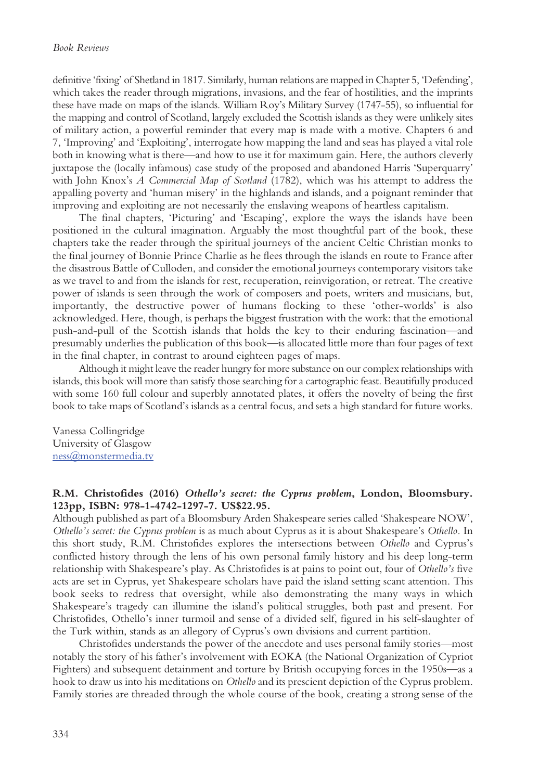definitive 'fixing' of Shetland in 1817. Similarly, human relations are mapped in Chapter 5, 'Defending', which takes the reader through migrations, invasions, and the fear of hostilities, and the imprints these have made on maps of the islands. William Roy's Military Survey (1747-55), so influential for the mapping and control of Scotland, largely excluded the Scottish islands as they were unlikely sites of military action, a powerful reminder that every map is made with a motive. Chapters 6 and 7, 'Improving' and 'Exploiting', interrogate how mapping the land and seas has played a vital role both in knowing what is there—and how to use it for maximum gain. Here, the authors cleverly juxtapose the (locally infamous) case study of the proposed and abandoned Harris 'Superquarry' with John Knox's *A Commercial Map of Scotland* (1782), which was his attempt to address the appalling poverty and 'human misery' in the highlands and islands, and a poignant reminder that improving and exploiting are not necessarily the enslaving weapons of heartless capitalism.

The final chapters, 'Picturing' and 'Escaping', explore the ways the islands have been positioned in the cultural imagination. Arguably the most thoughtful part of the book, these chapters take the reader through the spiritual journeys of the ancient Celtic Christian monks to the final journey of Bonnie Prince Charlie as he flees through the islands en route to France after the disastrous Battle of Culloden, and consider the emotional journeys contemporary visitors take as we travel to and from the islands for rest, recuperation, reinvigoration, or retreat. The creative power of islands is seen through the work of composers and poets, writers and musicians, but, importantly, the destructive power of humans flocking to these 'other-worlds' is also acknowledged. Here, though, is perhaps the biggest frustration with the work: that the emotional push-and-pull of the Scottish islands that holds the key to their enduring fascination—and presumably underlies the publication of this book—is allocated little more than four pages of text in the final chapter, in contrast to around eighteen pages of maps.

Although it might leave the reader hungry for more substance on our complex relationships with islands, this book will more than satisfy those searching for a cartographic feast. Beautifully produced with some 160 full colour and superbly annotated plates, it offers the novelty of being the first book to take maps of Scotland's islands as a central focus, and sets a high standard for future works.

Vanessa Collingridge University of Glasgow ness@monstermedia.tv

# **R.M. Christofides (2016)** *Othello's secret: the Cyprus problem***, London, Bloomsbury. 123pp, ISBN: 978-1-4742-1297-7. US\$22.95.**

Although published as part of a Bloomsbury Arden Shakespeare series called 'Shakespeare NOW', *Othello's secret: the Cyprus problem* is as much about Cyprus as it is about Shakespeare's *Othello.* In this short study, R.M. Christofides explores the intersections between *Othello* and Cyprus's conflicted history through the lens of his own personal family history and his deep long-term relationship with Shakespeare's play. As Christofides is at pains to point out, four of *Othello's* five acts are set in Cyprus, yet Shakespeare scholars have paid the island setting scant attention. This book seeks to redress that oversight, while also demonstrating the many ways in which Shakespeare's tragedy can illumine the island's political struggles, both past and present. For Christofides, Othello's inner turmoil and sense of a divided self, figured in his self-slaughter of the Turk within, stands as an allegory of Cyprus's own divisions and current partition.

Christofides understands the power of the anecdote and uses personal family stories—most notably the story of his father's involvement with EOKA (the National Organization of Cypriot Fighters) and subsequent detainment and torture by British occupying forces in the 1950s—as a hook to draw us into his meditations on *Othello* and its prescient depiction of the Cyprus problem. Family stories are threaded through the whole course of the book, creating a strong sense of the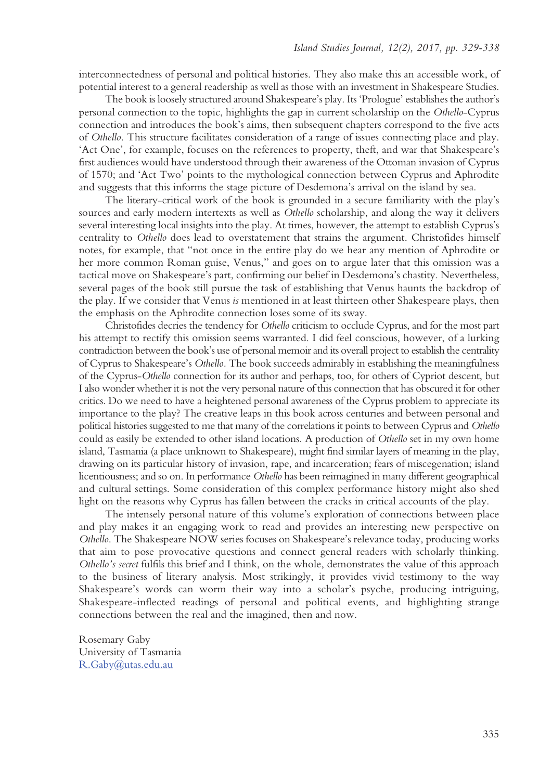interconnectedness of personal and political histories. They also make this an accessible work, of potential interest to a general readership as well as those with an investment in Shakespeare Studies.

The book is loosely structured around Shakespeare's play. Its 'Prologue' establishes the author's personal connection to the topic, highlights the gap in current scholarship on the *Othello*-Cyprus connection and introduces the book's aims, then subsequent chapters correspond to the five acts of *Othello*. This structure facilitates consideration of a range of issues connecting place and play. 'Act One', for example, focuses on the references to property, theft, and war that Shakespeare's first audiences would have understood through their awareness of the Ottoman invasion of Cyprus of 1570; and 'Act Two' points to the mythological connection between Cyprus and Aphrodite and suggests that this informs the stage picture of Desdemona's arrival on the island by sea.

The literary-critical work of the book is grounded in a secure familiarity with the play's sources and early modern intertexts as well as *Othello* scholarship, and along the way it delivers several interesting local insights into the play. At times, however, the attempt to establish Cyprus's centrality to *Othello* does lead to overstatement that strains the argument. Christofides himself notes, for example, that "not once in the entire play do we hear any mention of Aphrodite or her more common Roman guise, Venus," and goes on to argue later that this omission was a tactical move on Shakespeare's part, confirming our belief in Desdemona's chastity. Nevertheless, several pages of the book still pursue the task of establishing that Venus haunts the backdrop of the play. If we consider that Venus *is* mentioned in at least thirteen other Shakespeare plays, then the emphasis on the Aphrodite connection loses some of its sway.

Christofides decries the tendency for *Othello* criticism to occlude Cyprus, and for the most part his attempt to rectify this omission seems warranted. I did feel conscious, however, of a lurking contradiction between the book's use of personal memoir and its overall project to establish the centrality of Cyprus to Shakespeare's *Othello.* The book succeeds admirably in establishing the meaningfulness of the Cyprus-*Othello* connection for its author and perhaps, too, for others of Cypriot descent, but I also wonder whether it is not the very personal nature of this connection that has obscured it for other critics. Do we need to have a heightened personal awareness of the Cyprus problem to appreciate its importance to the play? The creative leaps in this book across centuries and between personal and political histories suggested to me that many of the correlations it points to between Cyprus and *Othello* could as easily be extended to other island locations. A production of *Othello* set in my own home island, Tasmania (a place unknown to Shakespeare), might find similar layers of meaning in the play, drawing on its particular history of invasion, rape, and incarceration; fears of miscegenation; island licentiousness; and so on. In performance *Othello* has been reimagined in many different geographical and cultural settings. Some consideration of this complex performance history might also shed light on the reasons why Cyprus has fallen between the cracks in critical accounts of the play.

The intensely personal nature of this volume's exploration of connections between place and play makes it an engaging work to read and provides an interesting new perspective on *Othello*. The Shakespeare NOW series focuses on Shakespeare's relevance today, producing works that aim to pose provocative questions and connect general readers with scholarly thinking. *Othello's secret* fulfils this brief and I think, on the whole, demonstrates the value of this approach to the business of literary analysis. Most strikingly, it provides vivid testimony to the way Shakespeare's words can worm their way into a scholar's psyche, producing intriguing, Shakespeare-inflected readings of personal and political events, and highlighting strange connections between the real and the imagined, then and now.

Rosemary Gaby University of Tasmania R.Gaby@utas.edu.au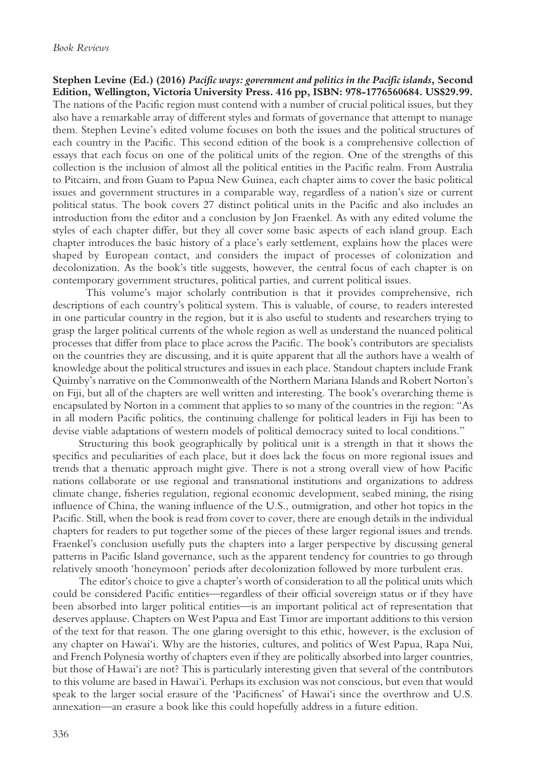**Stephen Levine (Ed.) (2016)** *Pacific ways: government and politics in the Pacific islands***, Second Edition, Wellington, Victoria University Press. 416 pp, ISBN: 978-1776560684. US\$29.99.** The nations of the Pacific region must contend with a number of crucial political issues, but they also have a remarkable array of different styles and formats of governance that attempt to manage them. Stephen Levine's edited volume focuses on both the issues and the political structures of each country in the Pacific. This second edition of the book is a comprehensive collection of essays that each focus on one of the political units of the region. One of the strengths of this collection is the inclusion of almost all the political entities in the Pacific realm. From Australia to Pitcairn, and from Guam to Papua New Guinea, each chapter aims to cover the basic political issues and government structures in a comparable way, regardless of a nation's size or current political status. The book covers 27 distinct political units in the Pacific and also includes an introduction from the editor and a conclusion by Jon Fraenkel. As with any edited volume the styles of each chapter differ, but they all cover some basic aspects of each island group. Each chapter introduces the basic history of a place's early settlement, explains how the places were shaped by European contact, and considers the impact of processes of colonization and decolonization. As the book's title suggests, however, the central focus of each chapter is on contemporary government structures, political parties, and current political issues.

 This volume's major scholarly contribution is that it provides comprehensive, rich descriptions of each country's political system. This is valuable, of course, to readers interested in one particular country in the region, but it is also useful to students and researchers trying to grasp the larger political currents of the whole region as well as understand the nuanced political processes that differ from place to place across the Pacific. The book's contributors are specialists on the countries they are discussing, and it is quite apparent that all the authors have a wealth of knowledge about the political structures and issues in each place. Standout chapters include Frank Quimby's narrative on the Commonwealth of the Northern Mariana Islands and Robert Norton's on Fiji, but all of the chapters are well written and interesting. The book's overarching theme is encapsulated by Norton in a comment that applies to so many of the countries in the region: "As in all modern Pacific politics, the continuing challenge for political leaders in Fiji has been to devise viable adaptations of western models of political democracy suited to local conditions."

Structuring this book geographically by political unit is a strength in that it shows the specifics and peculiarities of each place, but it does lack the focus on more regional issues and trends that a thematic approach might give. There is not a strong overall view of how Pacific nations collaborate or use regional and transnational institutions and organizations to address climate change, fisheries regulation, regional economic development, seabed mining, the rising influence of China, the waning influence of the U.S., outmigration, and other hot topics in the Pacific. Still, when the book is read from cover to cover, there are enough details in the individual chapters for readers to put together some of the pieces of these larger regional issues and trends. Fraenkel's conclusion usefully puts the chapters into a larger perspective by discussing general patterns in Pacific Island governance, such as the apparent tendency for countries to go through relatively smooth 'honeymoon' periods after decolonization followed by more turbulent eras.

The editor's choice to give a chapter's worth of consideration to all the political units which could be considered Pacific entities—regardless of their official sovereign status or if they have been absorbed into larger political entities—is an important political act of representation that deserves applause. Chapters on West Papua and East Timor are important additions to this version of the text for that reason. The one glaring oversight to this ethic, however, is the exclusion of any chapter on Hawai'i. Why are the histories, cultures, and politics of West Papua, Rapa Nui, and French Polynesia worthy of chapters even if they are politically absorbed into larger countries, but those of Hawai'i are not? This is particularly interesting given that several of the contributors to this volume are based in Hawai'i. Perhaps its exclusion was not conscious, but even that would speak to the larger social erasure of the 'Pacificness' of Hawai'i since the overthrow and U.S. annexation—an erasure a book like this could hopefully address in a future edition.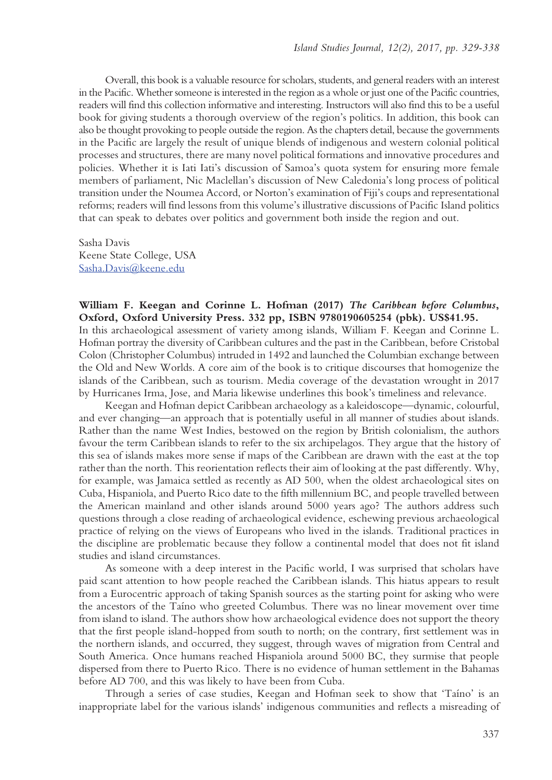Overall, this book is a valuable resource for scholars, students, and general readers with an interest in the Pacific. Whether someone is interested in the region as a whole or just one of the Pacific countries, readers will find this collection informative and interesting. Instructors will also find this to be a useful book for giving students a thorough overview of the region's politics. In addition, this book can also be thought provoking to people outside the region. As the chapters detail, because the governments in the Pacific are largely the result of unique blends of indigenous and western colonial political processes and structures, there are many novel political formations and innovative procedures and policies. Whether it is Iati Iati's discussion of Samoa's quota system for ensuring more female members of parliament, Nic Maclellan's discussion of New Caledonia's long process of political transition under the Noumea Accord, or Norton's examination of Fiji's coups and representational reforms; readers will find lessons from this volume's illustrative discussions of Pacific Island politics that can speak to debates over politics and government both inside the region and out.

Sasha Davis Keene State College, USA Sasha.Davis@keene.edu

**William F. Keegan and Corinne L. Hofman (2017)** *The Caribbean before Columbus***, Oxford, Oxford University Press. 332 pp, ISBN 9780190605254 (pbk). US\$41.95.** In this archaeological assessment of variety among islands, William F. Keegan and Corinne L. Hofman portray the diversity of Caribbean cultures and the past in the Caribbean, before Cristobal Colon (Christopher Columbus) intruded in 1492 and launched the Columbian exchange between the Old and New Worlds. A core aim of the book is to critique discourses that homogenize the islands of the Caribbean, such as tourism. Media coverage of the devastation wrought in 2017 by Hurricanes Irma, Jose, and Maria likewise underlines this book's timeliness and relevance.

Keegan and Hofman depict Caribbean archaeology as a kaleidoscope—dynamic, colourful, and ever changing—an approach that is potentially useful in all manner of studies about islands. Rather than the name West Indies, bestowed on the region by British colonialism, the authors favour the term Caribbean islands to refer to the six archipelagos. They argue that the history of this sea of islands makes more sense if maps of the Caribbean are drawn with the east at the top rather than the north. This reorientation reflects their aim of looking at the past differently. Why, for example, was Jamaica settled as recently as AD 500, when the oldest archaeological sites on Cuba, Hispaniola, and Puerto Rico date to the fifth millennium BC, and people travelled between the American mainland and other islands around 5000 years ago? The authors address such questions through a close reading of archaeological evidence, eschewing previous archaeological practice of relying on the views of Europeans who lived in the islands. Traditional practices in the discipline are problematic because they follow a continental model that does not fit island studies and island circumstances.

As someone with a deep interest in the Pacific world, I was surprised that scholars have paid scant attention to how people reached the Caribbean islands. This hiatus appears to result from a Eurocentric approach of taking Spanish sources as the starting point for asking who were the ancestors of the Taíno who greeted Columbus. There was no linear movement over time from island to island. The authors show how archaeological evidence does not support the theory that the first people island-hopped from south to north; on the contrary, first settlement was in the northern islands, and occurred, they suggest, through waves of migration from Central and South America. Once humans reached Hispaniola around 5000 BC, they surmise that people dispersed from there to Puerto Rico. There is no evidence of human settlement in the Bahamas before AD 700, and this was likely to have been from Cuba.

Through a series of case studies, Keegan and Hofman seek to show that 'Taíno' is an inappropriate label for the various islands' indigenous communities and reflects a misreading of